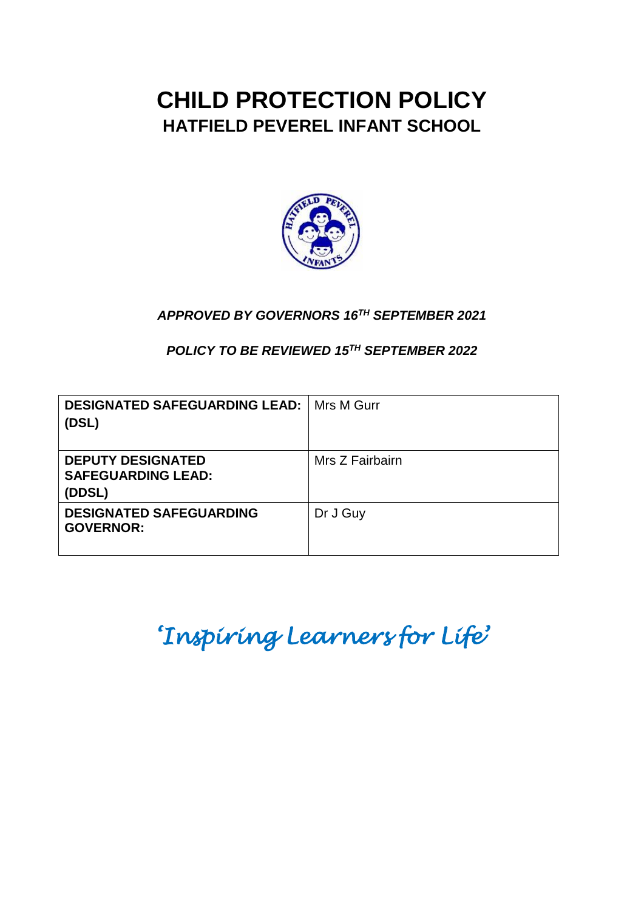# **CHILD PROTECTION POLICY HATFIELD PEVEREL INFANT SCHOOL**



# *APPROVED BY GOVERNORS 16TH SEPTEMBER 2021*

*POLICY TO BE REVIEWED 15TH SEPTEMBER 2022*

| <b>DESIGNATED SAFEGUARDING LEAD:</b><br>(DSL)                   | Mrs M Gurr      |
|-----------------------------------------------------------------|-----------------|
| <b>DEPUTY DESIGNATED</b><br><b>SAFEGUARDING LEAD:</b><br>(DDSL) | Mrs Z Fairbairn |
| <b>DESIGNATED SAFEGUARDING</b><br><b>GOVERNOR:</b>              | Dr J Guy        |

*'Inspiring Learners for Life'*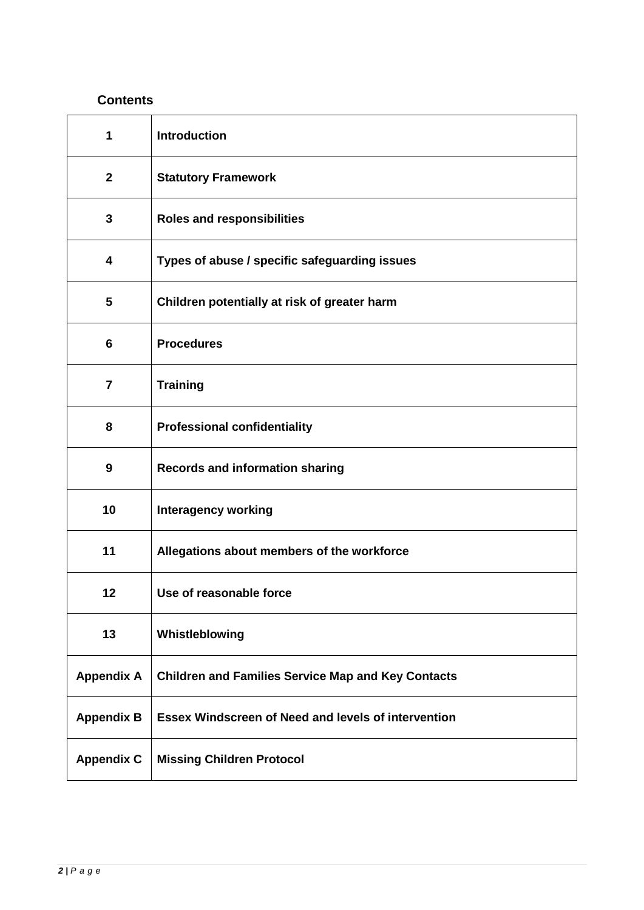# **Contents**

| 1                 | <b>Introduction</b>                                        |
|-------------------|------------------------------------------------------------|
| $\mathbf 2$       | <b>Statutory Framework</b>                                 |
| 3                 | <b>Roles and responsibilities</b>                          |
| 4                 | Types of abuse / specific safeguarding issues              |
| 5                 | Children potentially at risk of greater harm               |
| 6                 | <b>Procedures</b>                                          |
| 7                 | <b>Training</b>                                            |
| 8                 | <b>Professional confidentiality</b>                        |
| 9                 | <b>Records and information sharing</b>                     |
| 10                | <b>Interagency working</b>                                 |
| 11                | Allegations about members of the workforce                 |
| 12                | Use of reasonable force                                    |
| 13                | Whistleblowing                                             |
| <b>Appendix A</b> | <b>Children and Families Service Map and Key Contacts</b>  |
| <b>Appendix B</b> | <b>Essex Windscreen of Need and levels of intervention</b> |
| <b>Appendix C</b> | <b>Missing Children Protocol</b>                           |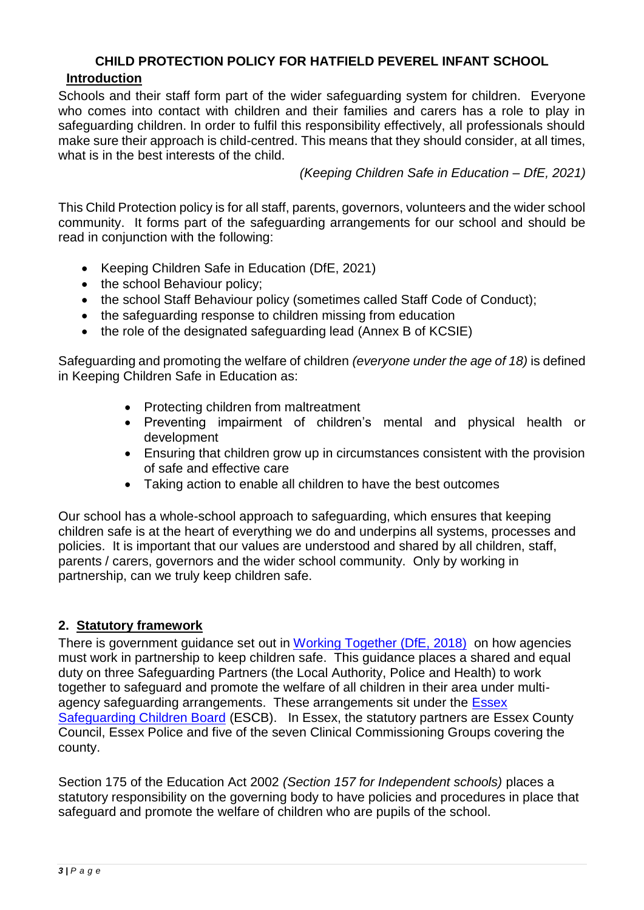## **CHILD PROTECTION POLICY FOR HATFIELD PEVEREL INFANT SCHOOL Introduction**

Schools and their staff form part of the wider safeguarding system for children. Everyone who comes into contact with children and their families and carers has a role to play in safeguarding children. In order to fulfil this responsibility effectively, all professionals should make sure their approach is child-centred. This means that they should consider, at all times, what is in the best interests of the child.

*(Keeping Children Safe in Education – DfE, 2021)*

This Child Protection policy is for all staff, parents, governors, volunteers and the wider school community. It forms part of the safeguarding arrangements for our school and should be read in conjunction with the following:

- Keeping Children Safe in Education (DfE, 2021)
- the school Behaviour policy;
- the school Staff Behaviour policy (sometimes called Staff Code of Conduct);
- the safeguarding response to children missing from education
- the role of the designated safeguarding lead (Annex B of KCSIE)

Safeguarding and promoting the welfare of children *(everyone under the age of 18)* is defined in Keeping Children Safe in Education as:

- Protecting children from maltreatment
- Preventing impairment of children's mental and physical health or development
- Ensuring that children grow up in circumstances consistent with the provision of safe and effective care
- Taking action to enable all children to have the best outcomes

Our school has a whole-school approach to safeguarding, which ensures that keeping children safe is at the heart of everything we do and underpins all systems, processes and policies. It is important that our values are understood and shared by all children, staff, parents / carers, governors and the wider school community. Only by working in partnership, can we truly keep children safe.

# **2. Statutory framework**

There is government guidance set out in [Working Together \(DfE, 2018\)](https://assets.publishing.service.gov.uk/government/uploads/system/uploads/attachment_data/file/942454/Working_together_to_safeguard_children_inter_agency_guidance.pdf) on how agencies must work in partnership to keep children safe. This guidance places a shared and equal duty on three Safeguarding Partners (the Local Authority, Police and Health) to work together to safeguard and promote the welfare of all children in their area under multiagency safeguarding arrangements. These arrangements sit under the **Essex** [Safeguarding Children Board](http://www.escb.co.uk/Home.aspx) (ESCB). In Essex, the statutory partners are Essex County Council, Essex Police and five of the seven Clinical Commissioning Groups covering the county.

Section 175 of the Education Act 2002 *(Section 157 for Independent schools)* places a statutory responsibility on the governing body to have policies and procedures in place that safeguard and promote the welfare of children who are pupils of the school.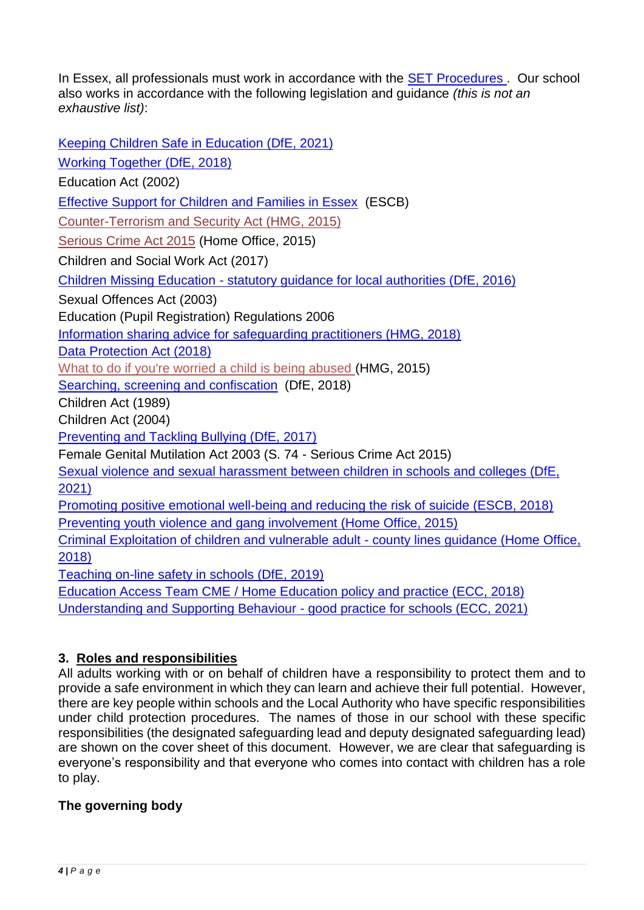In Essex, all professionals must work in accordance with the **SET Procedures**. Our school also works in accordance with the following legislation and guidance *(this is not an exhaustive list)*:

[Keeping Children Safe in Education \(DfE, 2021\)](https://www.gov.uk/government/publications/keeping-children-safe-in-education--2) [Working Together \(DfE, 2018\)](https://assets.publishing.service.gov.uk/government/uploads/system/uploads/attachment_data/file/942454/Working_together_to_safeguard_children_inter_agency_guidance.pdf) Education Act (2002) [Effective Support for Children and Families in Essex](http://www.escb.co.uk/Portals/67/Documents/professionals/EffectiveSupportBooklet2017v5-FINAL.pdf) (ESCB) [Counter-Terrorism and Security Act \(HMG, 2015\)](http://www.legislation.gov.uk/ukpga/2015/6/contents) [Serious Crime Act 2015](https://www.gov.uk/government/collections/serious-crime-bill) (Home Office, 2015) Children and Social Work Act (2017) Children Missing Education - [statutory guidance for local authorities \(DfE, 2016\)](https://assets.publishing.service.gov.uk/government/uploads/system/uploads/attachment_data/file/550416/Children_Missing_Education_-_statutory_guidance.pdf) Sexual Offences Act (2003) Education (Pupil Registration) Regulations 2006 [Information sharing advice for safeguarding practitioners \(HMG, 2018\)](https://assets.publishing.service.gov.uk/government/uploads/system/uploads/attachment_data/file/721581/Information_sharing_advice_practitioners_safeguarding_services.pdf) [Data Protection Act \(2018\)](http://www.legislation.gov.uk/ukpga/2018/12/pdfs/ukpga_20180012_en.pdf) [What to do if you're worried a child is being abused \(](https://www.gov.uk/government/uploads/system/uploads/attachment_data/file/419604/What_to_do_if_you_re_worried_a_child_is_being_abused.pdf)HMG, 2015) [Searching, screening and confiscation](https://assets.publishing.service.gov.uk/government/uploads/system/uploads/attachment_data/file/674416/Searching_screening_and_confiscation.pdf) (DfE, 2018) Children Act (1989) Children Act (2004) [Preventing and Tackling Bullying \(DfE, 2017\)](https://www.gov.uk/government/uploads/system/uploads/attachment_data/file/623895/Preventing_and_tackling_bullying_advice.pdf) Female Genital Mutilation Act 2003 (S. 74 - Serious Crime Act 2015) [Sexual violence and sexual harassment between children in schools and colleges \(DfE,](https://www.gov.uk/government/publications/sexual-violence-and-sexual-harassment-between-children-in-schools-and-colleges)  [2021\)](https://www.gov.uk/government/publications/sexual-violence-and-sexual-harassment-between-children-in-schools-and-colleges) [Promoting positive emotional well-being and reducing the risk of suicide \(ESCB, 2018\)](https://schools.essex.gov.uk/pupils/Safeguarding/Emotional_Wellbeing_and_Mental_Health/Documents/Promoting%20Positive%20Emotional%20Well-being%20and%20Reducing%20the%20Risk%20of%20Suicide%20-%20Autumn%202018.pdf) [Preventing youth violence and gang involvement \(Home Office, 2015\)](https://assets.publishing.service.gov.uk/government/uploads/system/uploads/attachment_data/file/418131/Preventing_youth_violence_and_gang_involvement_v3_March2015.pdf) [Criminal Exploitation of children and vulnerable adult -](https://assets.publishing.service.gov.uk/government/uploads/system/uploads/attachment_data/file/741194/HOCountyLinesGuidanceSept2018.pdf) county lines guidance (Home Office, [2018\)](https://assets.publishing.service.gov.uk/government/uploads/system/uploads/attachment_data/file/741194/HOCountyLinesGuidanceSept2018.pdf) [Teaching on-line safety in schools \(DfE, 2019\)](https://assets.publishing.service.gov.uk/government/uploads/system/uploads/attachment_data/file/811796/Teaching_online_safety_in_school.pdf) Education Access Team CME [/ Home Education policy and practice \(ECC, 2018\)](https://schools.essex.gov.uk/pupils/Education_Access/Documents/Education%20Access%20-%20CME%20and%20EHE%20Team%20-%20Policy%20and%20Practice%20Guidance%20document.pdf) [Understanding and Supporting Behaviour -](https://schools.essex.gov.uk/pupils/Safeguarding/Pages/understanding-and-supporting-behaviour.aspx) good practice for schools (ECC, 2021)

# **3. Roles and responsibilities**

All adults working with or on behalf of children have a responsibility to protect them and to provide a safe environment in which they can learn and achieve their full potential. However, there are key people within schools and the Local Authority who have specific responsibilities under child protection procedures. The names of those in our school with these specific responsibilities (the designated safeguarding lead and deputy designated safeguarding lead) are shown on the cover sheet of this document. However, we are clear that safeguarding is everyone's responsibility and that everyone who comes into contact with children has a role to play.

# **The governing body**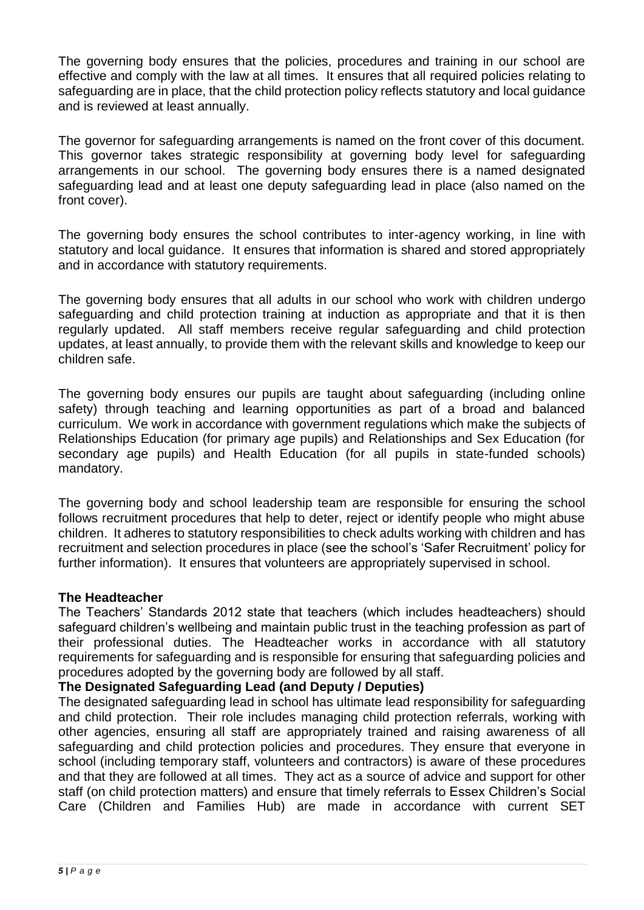The governing body ensures that the policies, procedures and training in our school are effective and comply with the law at all times. It ensures that all required policies relating to safeguarding are in place, that the child protection policy reflects statutory and local guidance and is reviewed at least annually.

The governor for safeguarding arrangements is named on the front cover of this document. This governor takes strategic responsibility at governing body level for safeguarding arrangements in our school. The governing body ensures there is a named designated safeguarding lead and at least one deputy safeguarding lead in place (also named on the front cover).

The governing body ensures the school contributes to inter-agency working, in line with statutory and local guidance. It ensures that information is shared and stored appropriately and in accordance with statutory requirements.

The governing body ensures that all adults in our school who work with children undergo safeguarding and child protection training at induction as appropriate and that it is then regularly updated. All staff members receive regular safeguarding and child protection updates, at least annually, to provide them with the relevant skills and knowledge to keep our children safe.

The governing body ensures our pupils are taught about safeguarding (including online safety) through teaching and learning opportunities as part of a broad and balanced curriculum. We work in accordance with government regulations which make the subjects of Relationships Education (for primary age pupils) and Relationships and Sex Education (for secondary age pupils) and Health Education (for all pupils in state-funded schools) mandatory.

The governing body and school leadership team are responsible for ensuring the school follows recruitment procedures that help to deter, reject or identify people who might abuse children. It adheres to statutory responsibilities to check adults working with children and has recruitment and selection procedures in place (see the school's 'Safer Recruitment' policy for further information). It ensures that volunteers are appropriately supervised in school.

#### **The Headteacher**

The Teachers' Standards 2012 state that teachers (which includes headteachers) should safeguard children's wellbeing and maintain public trust in the teaching profession as part of their professional duties. The Headteacher works in accordance with all statutory requirements for safeguarding and is responsible for ensuring that safeguarding policies and procedures adopted by the governing body are followed by all staff.

#### **The Designated Safeguarding Lead (and Deputy / Deputies)**

The designated safeguarding lead in school has ultimate lead responsibility for safeguarding and child protection. Their role includes managing child protection referrals, working with other agencies, ensuring all staff are appropriately trained and raising awareness of all safeguarding and child protection policies and procedures. They ensure that everyone in school (including temporary staff, volunteers and contractors) is aware of these procedures and that they are followed at all times. They act as a source of advice and support for other staff (on child protection matters) and ensure that timely referrals to Essex Children's Social Care (Children and Families Hub) are made in accordance with current SET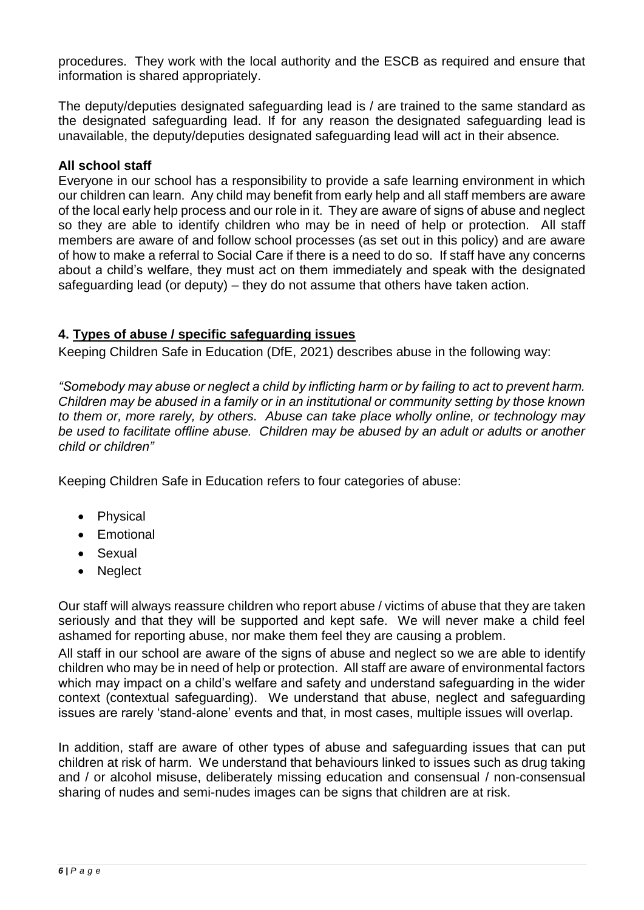procedures. They work with the local authority and the ESCB as required and ensure that information is shared appropriately.

The deputy/deputies designated safeguarding lead is / are trained to the same standard as the designated safeguarding lead. If for any reason the designated safeguarding lead is unavailable, the deputy/deputies designated safeguarding lead will act in their absence*.* 

# **All school staff**

Everyone in our school has a responsibility to provide a safe learning environment in which our children can learn. Any child may benefit from early help and all staff members are aware of the local early help process and our role in it. They are aware of signs of abuse and neglect so they are able to identify children who may be in need of help or protection. All staff members are aware of and follow school processes (as set out in this policy) and are aware of how to make a referral to Social Care if there is a need to do so. If staff have any concerns about a child's welfare, they must act on them immediately and speak with the designated safeguarding lead (or deputy) – they do not assume that others have taken action.

# **4. Types of abuse / specific safeguarding issues**

Keeping Children Safe in Education (DfE, 2021) describes abuse in the following way:

*"Somebody may abuse or neglect a child by inflicting harm or by failing to act to prevent harm. Children may be abused in a family or in an institutional or community setting by those known to them or, more rarely, by others. Abuse can take place wholly online, or technology may be used to facilitate offline abuse. Children may be abused by an adult or adults or another child or children"*

Keeping Children Safe in Education refers to four categories of abuse:

- Physical
- Emotional
- Sexual
- Neglect

Our staff will always reassure children who report abuse / victims of abuse that they are taken seriously and that they will be supported and kept safe. We will never make a child feel ashamed for reporting abuse, nor make them feel they are causing a problem.

All staff in our school are aware of the signs of abuse and neglect so we are able to identify children who may be in need of help or protection. All staff are aware of environmental factors which may impact on a child's welfare and safety and understand safeguarding in the wider context (contextual safeguarding). We understand that abuse, neglect and safeguarding issues are rarely 'stand-alone' events and that, in most cases, multiple issues will overlap.

In addition, staff are aware of other types of abuse and safeguarding issues that can put children at risk of harm. We understand that behaviours linked to issues such as drug taking and / or alcohol misuse, deliberately missing education and consensual / non-consensual sharing of nudes and semi-nudes images can be signs that children are at risk.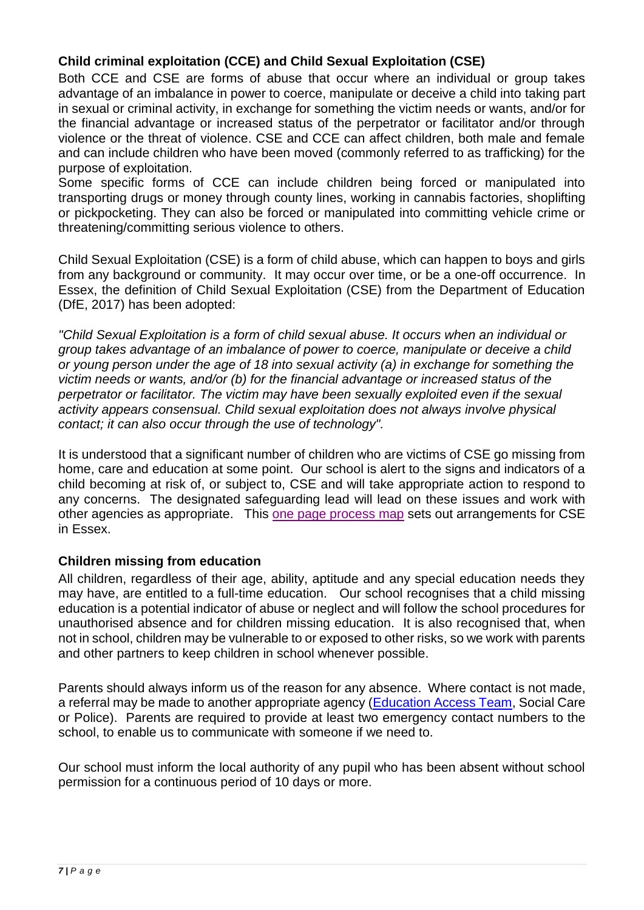# **Child criminal exploitation (CCE) and Child Sexual Exploitation (CSE)**

Both CCE and CSE are forms of abuse that occur where an individual or group takes advantage of an imbalance in power to coerce, manipulate or deceive a child into taking part in sexual or criminal activity, in exchange for something the victim needs or wants, and/or for the financial advantage or increased status of the perpetrator or facilitator and/or through violence or the threat of violence. CSE and CCE can affect children, both male and female and can include children who have been moved (commonly referred to as trafficking) for the purpose of exploitation.

Some specific forms of CCE can include children being forced or manipulated into transporting drugs or money through county lines, working in cannabis factories, shoplifting or pickpocketing. They can also be forced or manipulated into committing vehicle crime or threatening/committing serious violence to others.

Child Sexual Exploitation (CSE) is a form of child abuse, which can happen to boys and girls from any background or community. It may occur over time, or be a one-off occurrence. In Essex, the definition of Child Sexual Exploitation (CSE) from the Department of Education (DfE, 2017) has been adopted:

*"Child Sexual Exploitation is a form of child sexual abuse. It occurs when an individual or group takes advantage of an imbalance of power to coerce, manipulate or deceive a child or young person under the age of 18 into sexual activity (a) in exchange for something the victim needs or wants, and/or (b) for the financial advantage or increased status of the perpetrator or facilitator. The victim may have been sexually exploited even if the sexual activity appears consensual. Child sexual exploitation does not always involve physical contact; it can also occur through the use of technology".*

It is understood that a significant number of children who are victims of CSE go missing from home, care and education at some point. Our school is alert to the signs and indicators of a child becoming at risk of, or subject to, CSE and will take appropriate action to respond to any concerns. The designated safeguarding lead will lead on these issues and work with other agencies as appropriate. This [one page process map](https://www.escb.co.uk/media/2075/cse-1-pager-sept-2019.pdf) sets out arrangements for CSE in Essex.

#### **Children missing from education**

All children, regardless of their age, ability, aptitude and any special education needs they may have, are entitled to a full-time education. Our school recognises that a child missing education is a potential indicator of abuse or neglect and will follow the school procedures for unauthorised absence and for children missing education. It is also recognised that, when not in school, children may be vulnerable to or exposed to other risks, so we work with parents and other partners to keep children in school whenever possible.

Parents should always inform us of the reason for any absence. Where contact is not made, a referral may be made to another appropriate agency [\(Education Access Team,](https://schools.essex.gov.uk/pupils/Education_Access/Pages/default.aspx) Social Care or Police). Parents are required to provide at least two emergency contact numbers to the school, to enable us to communicate with someone if we need to.

Our school must inform the local authority of any pupil who has been absent without school permission for a continuous period of 10 days or more.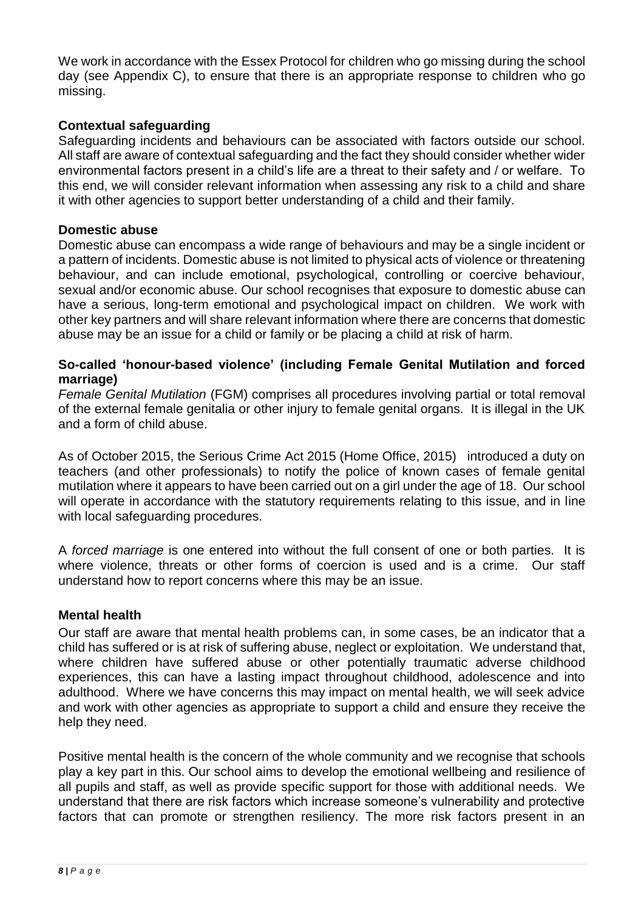We work in accordance with the Essex Protocol for children who go missing during the school day (see Appendix C), to ensure that there is an appropriate response to children who go missing.

## **Contextual safeguarding**

Safeguarding incidents and behaviours can be associated with factors outside our school. All staff are aware of contextual safeguarding and the fact they should consider whether wider environmental factors present in a child's life are a threat to their safety and / or welfare. To this end, we will consider relevant information when assessing any risk to a child and share it with other agencies to support better understanding of a child and their family.

#### **Domestic abuse**

Domestic abuse can encompass a wide range of behaviours and may be a single incident or a pattern of incidents. Domestic abuse is not limited to physical acts of violence or threatening behaviour, and can include emotional, psychological, controlling or coercive behaviour, sexual and/or economic abuse. Our school recognises that exposure to domestic abuse can have a serious, long-term emotional and psychological impact on children. We work with other key partners and will share relevant information where there are concerns that domestic abuse may be an issue for a child or family or be placing a child at risk of harm.

## **So-called 'honour-based violence' (including Female Genital Mutilation and forced marriage)**

*Female Genital Mutilation* (FGM) comprises all procedures involving partial or total removal of the external female genitalia or other injury to female genital organs. It is illegal in the UK and a form of child abuse.

As of October 2015, the Serious Crime Act 2015 (Home Office, 2015) introduced a duty on teachers (and other professionals) to notify the police of known cases of female genital mutilation where it appears to have been carried out on a girl under the age of 18. Our school will operate in accordance with the statutory requirements relating to this issue, and in line with local safeguarding procedures.

A *forced marriage* is one entered into without the full consent of one or both parties. It is where violence, threats or other forms of coercion is used and is a crime. Our staff understand how to report concerns where this may be an issue.

#### **Mental health**

Our staff are aware that mental health problems can, in some cases, be an indicator that a child has suffered or is at risk of suffering abuse, neglect or exploitation. We understand that, where children have suffered abuse or other potentially traumatic adverse childhood experiences, this can have a lasting impact throughout childhood, adolescence and into adulthood. Where we have concerns this may impact on mental health, we will seek advice and work with other agencies as appropriate to support a child and ensure they receive the help they need.

Positive mental health is the concern of the whole community and we recognise that schools play a key part in this. Our school aims to develop the emotional wellbeing and resilience of all pupils and staff, as well as provide specific support for those with additional needs. We understand that there are risk factors which increase someone's vulnerability and protective factors that can promote or strengthen resiliency. The more risk factors present in an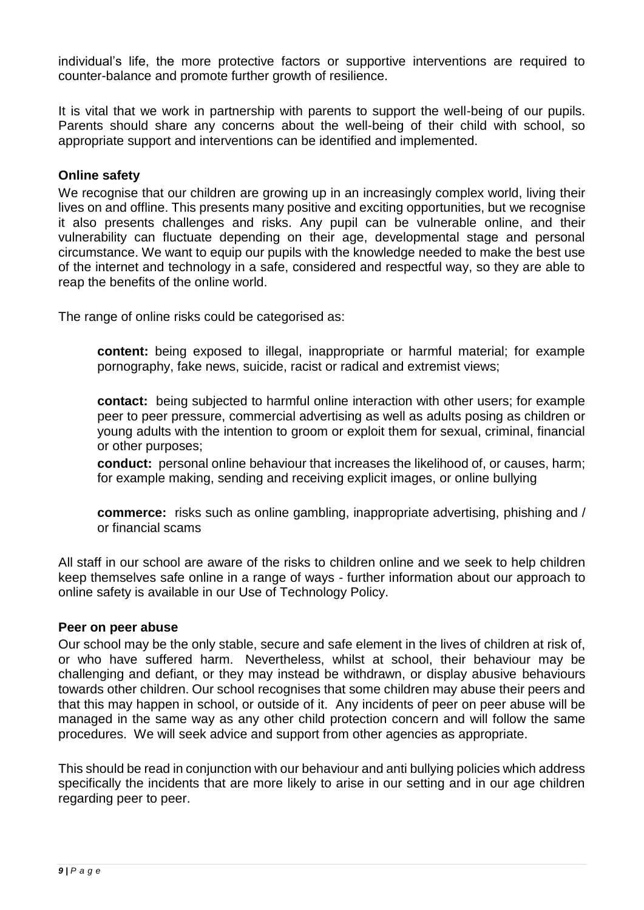individual's life, the more protective factors or supportive interventions are required to counter-balance and promote further growth of resilience.

It is vital that we work in partnership with parents to support the well-being of our pupils. Parents should share any concerns about the well-being of their child with school, so appropriate support and interventions can be identified and implemented.

#### **Online safety**

We recognise that our children are growing up in an increasingly complex world, living their lives on and offline. This presents many positive and exciting opportunities, but we recognise it also presents challenges and risks. Any pupil can be vulnerable online, and their vulnerability can fluctuate depending on their age, developmental stage and personal circumstance. We want to equip our pupils with the knowledge needed to make the best use of the internet and technology in a safe, considered and respectful way, so they are able to reap the benefits of the online world.

The range of online risks could be categorised as:

**content:** being exposed to illegal, inappropriate or harmful material; for example pornography, fake news, suicide, racist or radical and extremist views;

**contact:** being subjected to harmful online interaction with other users; for example peer to peer pressure, commercial advertising as well as adults posing as children or young adults with the intention to groom or exploit them for sexual, criminal, financial or other purposes;

**conduct:** personal online behaviour that increases the likelihood of, or causes, harm; for example making, sending and receiving explicit images, or online bullying

**commerce:** risks such as online gambling, inappropriate advertising, phishing and / or financial scams

All staff in our school are aware of the risks to children online and we seek to help children keep themselves safe online in a range of ways - further information about our approach to online safety is available in our Use of Technology Policy.

#### **Peer on peer abuse**

Our school may be the only stable, secure and safe element in the lives of children at risk of, or who have suffered harm. Nevertheless, whilst at school, their behaviour may be challenging and defiant, or they may instead be withdrawn, or display abusive behaviours towards other children. Our school recognises that some children may abuse their peers and that this may happen in school, or outside of it. Any incidents of peer on peer abuse will be managed in the same way as any other child protection concern and will follow the same procedures. We will seek advice and support from other agencies as appropriate.

This should be read in conjunction with our behaviour and anti bullying policies which address specifically the incidents that are more likely to arise in our setting and in our age children regarding peer to peer.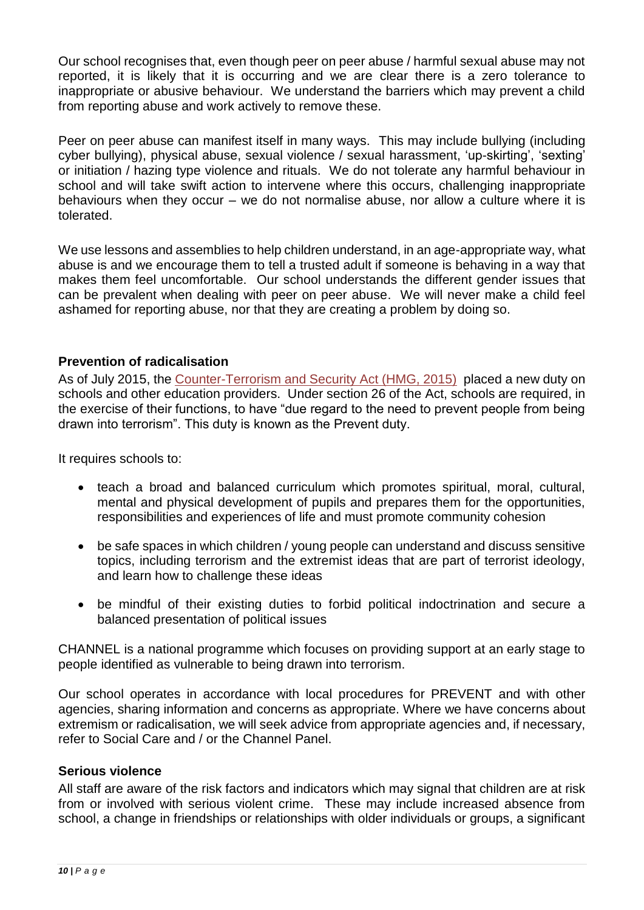Our school recognises that, even though peer on peer abuse / harmful sexual abuse may not reported, it is likely that it is occurring and we are clear there is a zero tolerance to inappropriate or abusive behaviour. We understand the barriers which may prevent a child from reporting abuse and work actively to remove these.

Peer on peer abuse can manifest itself in many ways. This may include bullying (including cyber bullying), physical abuse, sexual violence / sexual harassment, 'up-skirting', 'sexting' or initiation / hazing type violence and rituals. We do not tolerate any harmful behaviour in school and will take swift action to intervene where this occurs, challenging inappropriate behaviours when they occur – we do not normalise abuse, nor allow a culture where it is tolerated.

We use lessons and assemblies to help children understand, in an age-appropriate way, what abuse is and we encourage them to tell a trusted adult if someone is behaving in a way that makes them feel uncomfortable. Our school understands the different gender issues that can be prevalent when dealing with peer on peer abuse. We will never make a child feel ashamed for reporting abuse, nor that they are creating a problem by doing so.

#### **Prevention of radicalisation**

As of July 2015, the [Counter-Terrorism and Security Act \(HMG, 2015\)](http://www.legislation.gov.uk/ukpga/2015/6/contents) placed a new duty on schools and other education providers. Under section 26 of the Act, schools are required, in the exercise of their functions, to have "due regard to the need to prevent people from being drawn into terrorism". This duty is known as the Prevent duty.

It requires schools to:

- teach a broad and balanced curriculum which promotes spiritual, moral, cultural, mental and physical development of pupils and prepares them for the opportunities, responsibilities and experiences of life and must promote community cohesion
- be safe spaces in which children / young people can understand and discuss sensitive topics, including terrorism and the extremist ideas that are part of terrorist ideology, and learn how to challenge these ideas
- be mindful of their existing duties to forbid political indoctrination and secure a balanced presentation of political issues

CHANNEL is a national programme which focuses on providing support at an early stage to people identified as vulnerable to being drawn into terrorism.

Our school operates in accordance with local procedures for PREVENT and with other agencies, sharing information and concerns as appropriate. Where we have concerns about extremism or radicalisation, we will seek advice from appropriate agencies and, if necessary, refer to Social Care and / or the Channel Panel.

#### **Serious violence**

All staff are aware of the risk factors and indicators which may signal that children are at risk from or involved with serious violent crime. These may include increased absence from school, a change in friendships or relationships with older individuals or groups, a significant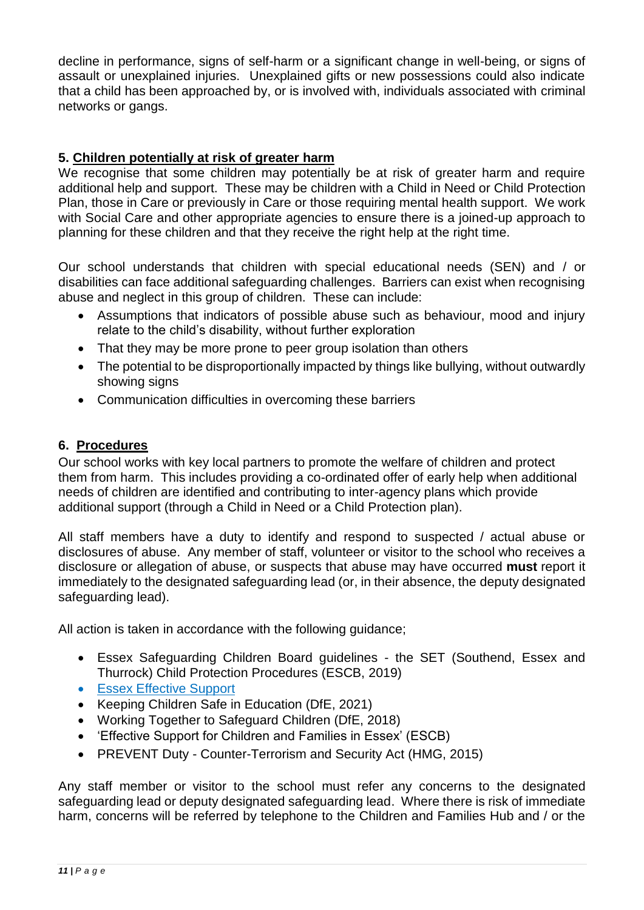decline in performance, signs of self-harm or a significant change in well-being, or signs of assault or unexplained injuries. Unexplained gifts or new possessions could also indicate that a child has been approached by, or is involved with, individuals associated with criminal networks or gangs.

## **5. Children potentially at risk of greater harm**

We recognise that some children may potentially be at risk of greater harm and require additional help and support. These may be children with a Child in Need or Child Protection Plan, those in Care or previously in Care or those requiring mental health support. We work with Social Care and other appropriate agencies to ensure there is a joined-up approach to planning for these children and that they receive the right help at the right time.

Our school understands that children with special educational needs (SEN) and / or disabilities can face additional safeguarding challenges. Barriers can exist when recognising abuse and neglect in this group of children. These can include:

- Assumptions that indicators of possible abuse such as behaviour, mood and injury relate to the child's disability, without further exploration
- That they may be more prone to peer group isolation than others
- The potential to be disproportionally impacted by things like bullying, without outwardly showing signs
- Communication difficulties in overcoming these barriers

#### **6. Procedures**

Our school works with key local partners to promote the welfare of children and protect them from harm. This includes providing a co-ordinated offer of early help when additional needs of children are identified and contributing to inter-agency plans which provide additional support (through a Child in Need or a Child Protection plan).

All staff members have a duty to identify and respond to suspected / actual abuse or disclosures of abuse. Any member of staff, volunteer or visitor to the school who receives a disclosure or allegation of abuse, or suspects that abuse may have occurred **must** report it immediately to the designated safeguarding lead (or, in their absence, the deputy designated safeguarding lead).

All action is taken in accordance with the following guidance;

- Essex Safeguarding Children Board guidelines the SET (Southend, Essex and Thurrock) Child Protection Procedures (ESCB, 2019)
- **[Essex Effective Support](https://www.essex.gov.uk/report-a-concern-about-a-child)**
- Keeping Children Safe in Education (DfE, 2021)
- Working Together to Safeguard Children (DfE, 2018)
- 'Effective Support for Children and Families in Essex' (ESCB)
- PREVENT Duty Counter-Terrorism and Security Act (HMG, 2015)

Any staff member or visitor to the school must refer any concerns to the designated safeguarding lead or deputy designated safeguarding lead. Where there is risk of immediate harm, concerns will be referred by telephone to the Children and Families Hub and / or the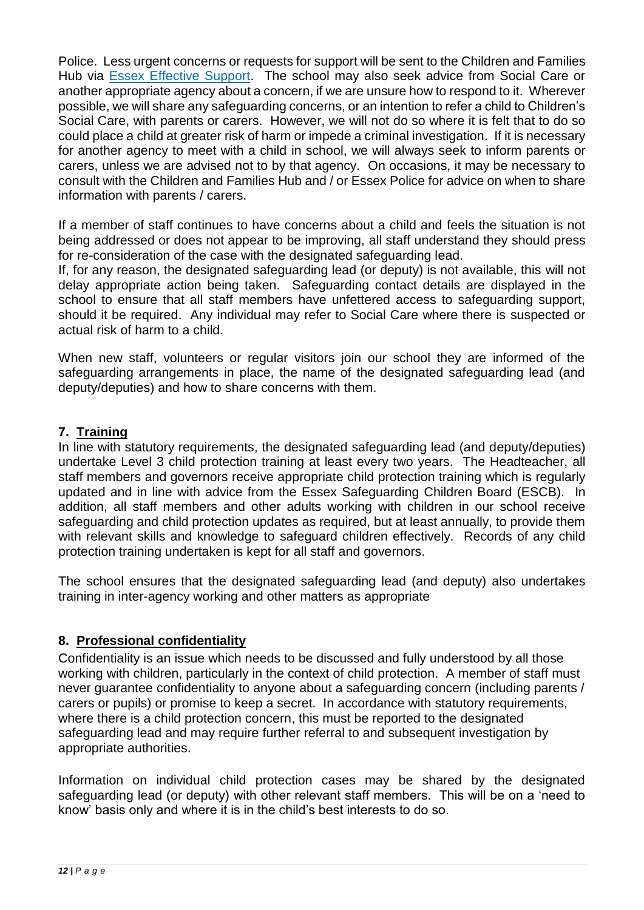Police. Less urgent concerns or requests for support will be sent to the Children and Families Hub via [Essex Effective Support.](https://www.essex.gov.uk/report-a-concern-about-a-child) The school may also seek advice from Social Care or another appropriate agency about a concern, if we are unsure how to respond to it. Wherever possible, we will share any safeguarding concerns, or an intention to refer a child to Children's Social Care, with parents or carers. However, we will not do so where it is felt that to do so could place a child at greater risk of harm or impede a criminal investigation. If it is necessary for another agency to meet with a child in school, we will always seek to inform parents or carers, unless we are advised not to by that agency. On occasions, it may be necessary to consult with the Children and Families Hub and / or Essex Police for advice on when to share information with parents / carers.

If a member of staff continues to have concerns about a child and feels the situation is not being addressed or does not appear to be improving, all staff understand they should press for re-consideration of the case with the designated safeguarding lead.

If, for any reason, the designated safeguarding lead (or deputy) is not available, this will not delay appropriate action being taken. Safeguarding contact details are displayed in the school to ensure that all staff members have unfettered access to safeguarding support, should it be required. Any individual may refer to Social Care where there is suspected or actual risk of harm to a child.

When new staff, volunteers or regular visitors join our school they are informed of the safeguarding arrangements in place, the name of the designated safeguarding lead (and deputy/deputies) and how to share concerns with them.

# **7. Training**

In line with statutory requirements, the designated safeguarding lead (and deputy/deputies) undertake Level 3 child protection training at least every two years. The Headteacher, all staff members and governors receive appropriate child protection training which is regularly updated and in line with advice from the Essex Safeguarding Children Board (ESCB). In addition, all staff members and other adults working with children in our school receive safeguarding and child protection updates as required, but at least annually, to provide them with relevant skills and knowledge to safeguard children effectively. Records of any child protection training undertaken is kept for all staff and governors.

The school ensures that the designated safeguarding lead (and deputy) also undertakes training in inter-agency working and other matters as appropriate

# **8. Professional confidentiality**

Confidentiality is an issue which needs to be discussed and fully understood by all those working with children, particularly in the context of child protection. A member of staff must never guarantee confidentiality to anyone about a safeguarding concern (including parents / carers or pupils) or promise to keep a secret. In accordance with statutory requirements, where there is a child protection concern, this must be reported to the designated safeguarding lead and may require further referral to and subsequent investigation by appropriate authorities.

Information on individual child protection cases may be shared by the designated safeguarding lead (or deputy) with other relevant staff members. This will be on a 'need to know' basis only and where it is in the child's best interests to do so.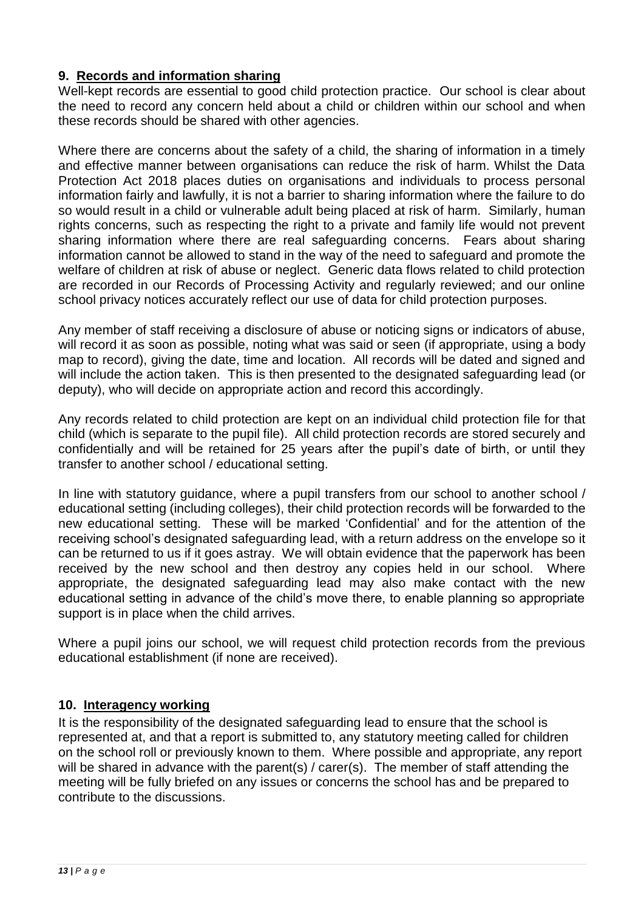# **9. Records and information sharing**

Well-kept records are essential to good child protection practice. Our school is clear about the need to record any concern held about a child or children within our school and when these records should be shared with other agencies.

Where there are concerns about the safety of a child, the sharing of information in a timely and effective manner between organisations can reduce the risk of harm. Whilst the Data Protection Act 2018 places duties on organisations and individuals to process personal information fairly and lawfully, it is not a barrier to sharing information where the failure to do so would result in a child or vulnerable adult being placed at risk of harm. Similarly, human rights concerns, such as respecting the right to a private and family life would not prevent sharing information where there are real safeguarding concerns. Fears about sharing information cannot be allowed to stand in the way of the need to safeguard and promote the welfare of children at risk of abuse or neglect. Generic data flows related to child protection are recorded in our Records of Processing Activity and regularly reviewed; and our online school privacy notices accurately reflect our use of data for child protection purposes.

Any member of staff receiving a disclosure of abuse or noticing signs or indicators of abuse, will record it as soon as possible, noting what was said or seen (if appropriate, using a body map to record), giving the date, time and location. All records will be dated and signed and will include the action taken. This is then presented to the designated safeguarding lead (or deputy), who will decide on appropriate action and record this accordingly.

Any records related to child protection are kept on an individual child protection file for that child (which is separate to the pupil file). All child protection records are stored securely and confidentially and will be retained for 25 years after the pupil's date of birth, or until they transfer to another school / educational setting.

In line with statutory guidance, where a pupil transfers from our school to another school / educational setting (including colleges), their child protection records will be forwarded to the new educational setting. These will be marked 'Confidential' and for the attention of the receiving school's designated safeguarding lead, with a return address on the envelope so it can be returned to us if it goes astray. We will obtain evidence that the paperwork has been received by the new school and then destroy any copies held in our school. Where appropriate, the designated safeguarding lead may also make contact with the new educational setting in advance of the child's move there, to enable planning so appropriate support is in place when the child arrives.

Where a pupil joins our school, we will request child protection records from the previous educational establishment (if none are received).

#### **10. Interagency working**

It is the responsibility of the designated safeguarding lead to ensure that the school is represented at, and that a report is submitted to, any statutory meeting called for children on the school roll or previously known to them. Where possible and appropriate, any report will be shared in advance with the parent(s) / carer(s). The member of staff attending the meeting will be fully briefed on any issues or concerns the school has and be prepared to contribute to the discussions.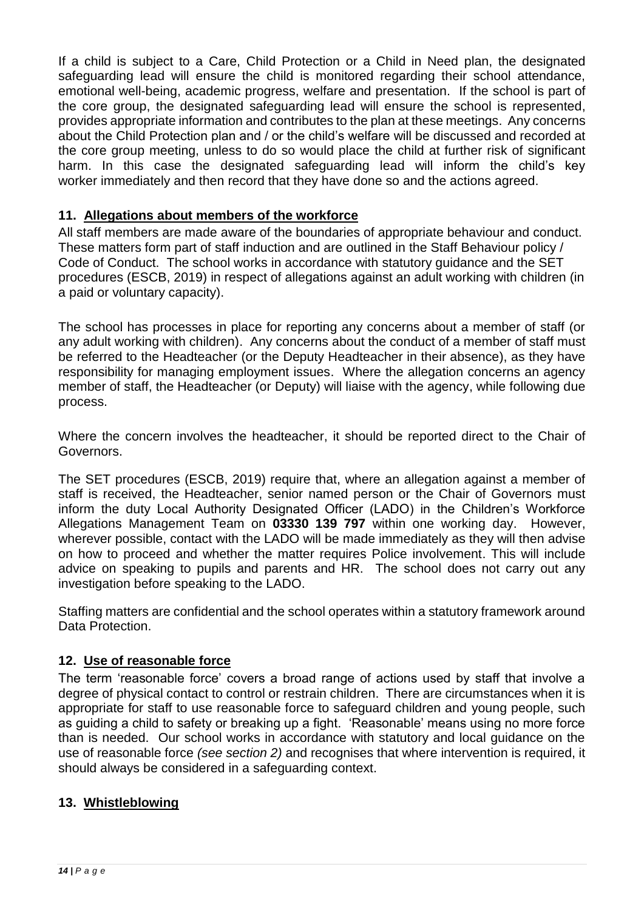If a child is subject to a Care, Child Protection or a Child in Need plan, the designated safeguarding lead will ensure the child is monitored regarding their school attendance, emotional well-being, academic progress, welfare and presentation. If the school is part of the core group, the designated safeguarding lead will ensure the school is represented, provides appropriate information and contributes to the plan at these meetings. Any concerns about the Child Protection plan and / or the child's welfare will be discussed and recorded at the core group meeting, unless to do so would place the child at further risk of significant harm. In this case the designated safeguarding lead will inform the child's key worker immediately and then record that they have done so and the actions agreed.

## **11. Allegations about members of the workforce**

All staff members are made aware of the boundaries of appropriate behaviour and conduct. These matters form part of staff induction and are outlined in the Staff Behaviour policy / Code of Conduct. The school works in accordance with statutory guidance and the SET procedures (ESCB, 2019) in respect of allegations against an adult working with children (in a paid or voluntary capacity).

The school has processes in place for reporting any concerns about a member of staff (or any adult working with children). Any concerns about the conduct of a member of staff must be referred to the Headteacher (or the Deputy Headteacher in their absence), as they have responsibility for managing employment issues. Where the allegation concerns an agency member of staff, the Headteacher (or Deputy) will liaise with the agency, while following due process.

Where the concern involves the headteacher, it should be reported direct to the Chair of Governors.

The SET procedures (ESCB, 2019) require that, where an allegation against a member of staff is received, the Headteacher, senior named person or the Chair of Governors must inform the duty Local Authority Designated Officer (LADO) in the Children's Workforce Allegations Management Team on **03330 139 797** within one working day. However, wherever possible, contact with the LADO will be made immediately as they will then advise on how to proceed and whether the matter requires Police involvement. This will include advice on speaking to pupils and parents and HR. The school does not carry out any investigation before speaking to the LADO.

Staffing matters are confidential and the school operates within a statutory framework around Data Protection.

# **12. Use of reasonable force**

The term 'reasonable force' covers a broad range of actions used by staff that involve a degree of physical contact to control or restrain children. There are circumstances when it is appropriate for staff to use reasonable force to safeguard children and young people, such as guiding a child to safety or breaking up a fight. 'Reasonable' means using no more force than is needed. Our school works in accordance with statutory and local guidance on the use of reasonable force *(see section 2)* and recognises that where intervention is required, it should always be considered in a safeguarding context.

#### **13. Whistleblowing**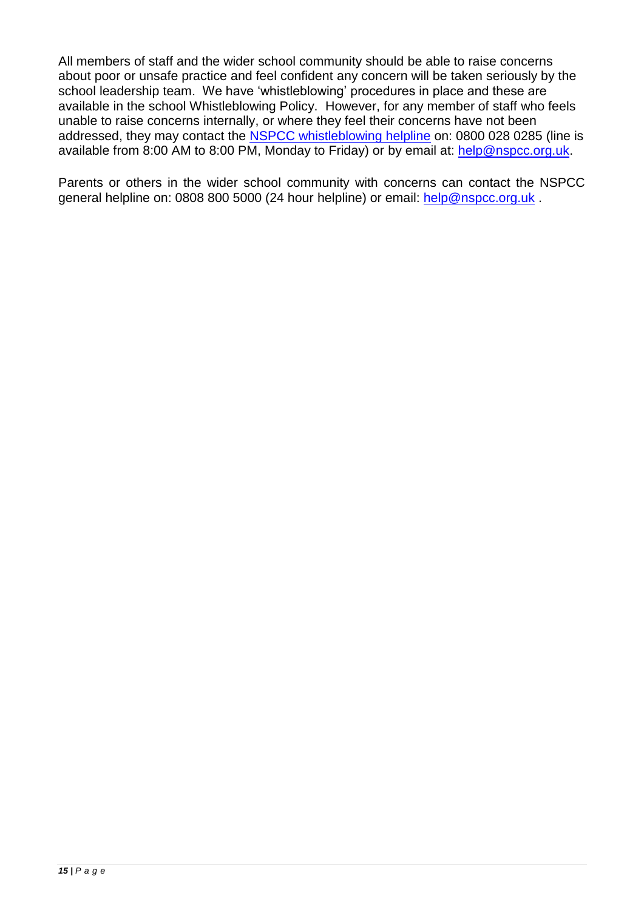All members of staff and the wider school community should be able to raise concerns about poor or unsafe practice and feel confident any concern will be taken seriously by the school leadership team. We have 'whistleblowing' procedures in place and these are available in the school Whistleblowing Policy. However, for any member of staff who feels unable to raise concerns internally, or where they feel their concerns have not been addressed, they may contact the [NSPCC whistleblowing helpline](https://www.nspcc.org.uk/what-you-can-do/report-abuse/dedicated-helplines/whistleblowing-advice-line/) on: 0800 028 0285 (line is available from 8:00 AM to 8:00 PM, Monday to Friday) or by email at: [help@nspcc.org.uk.](mailto:help@nspcc.org.uk)

Parents or others in the wider school community with concerns can contact the NSPCC general helpline on: 0808 800 5000 (24 hour helpline) or email: [help@nspcc.org.uk](mailto:help@nspcc.org.uk) .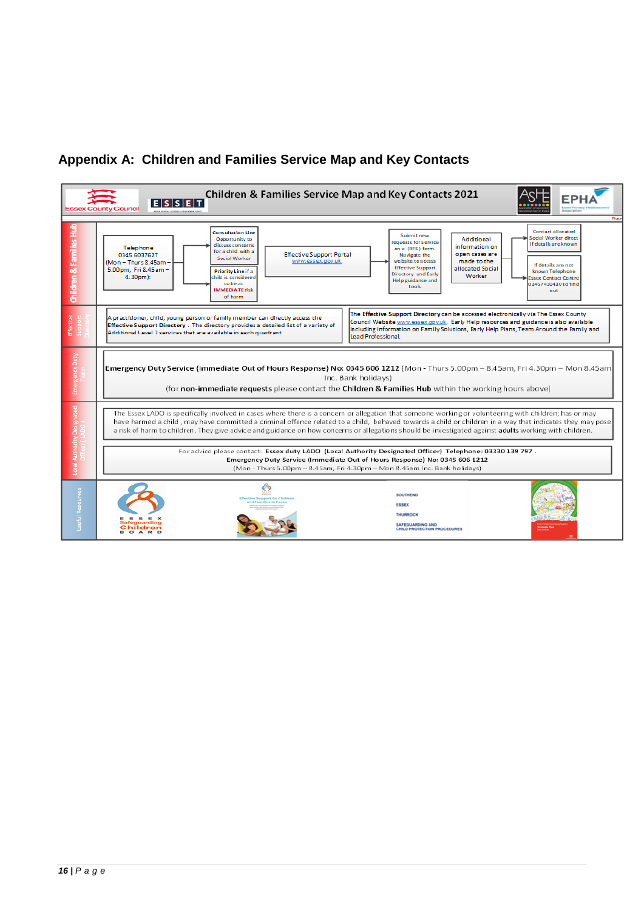

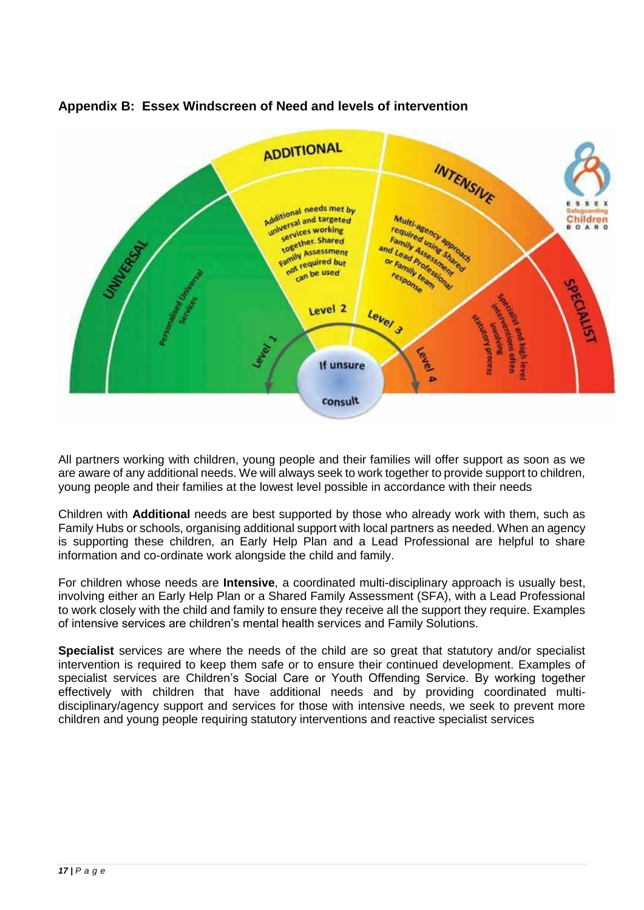

## **Appendix B: Essex Windscreen of Need and levels of intervention**

All partners working with children, young people and their families will offer support as soon as we are aware of any additional needs. We will always seek to work together to provide support to children, young people and their families at the lowest level possible in accordance with their needs

Children with **Additional** needs are best supported by those who already work with them, such as Family Hubs or schools, organising additional support with local partners as needed. When an agency is supporting these children, an Early Help Plan and a Lead Professional are helpful to share information and co-ordinate work alongside the child and family.

For children whose needs are **Intensive**, a coordinated multi-disciplinary approach is usually best, involving either an Early Help Plan or a Shared Family Assessment (SFA), with a Lead Professional to work closely with the child and family to ensure they receive all the support they require. Examples of intensive services are children's mental health services and Family Solutions.

**Specialist** services are where the needs of the child are so great that statutory and/or specialist intervention is required to keep them safe or to ensure their continued development. Examples of specialist services are Children's Social Care or Youth Offending Service. By working together effectively with children that have additional needs and by providing coordinated multidisciplinary/agency support and services for those with intensive needs, we seek to prevent more children and young people requiring statutory interventions and reactive specialist services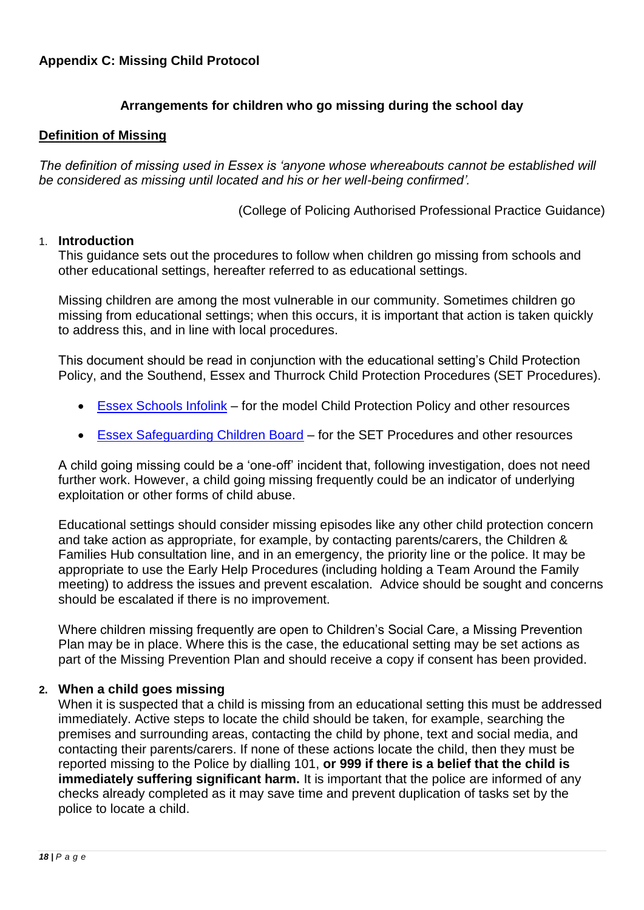## **Arrangements for children who go missing during the school day**

#### **Definition of Missing**

*The definition of missing used in Essex is 'anyone whose whereabouts cannot be established will be considered as missing until located and his or her well-being confirmed'.*

(College of Policing Authorised Professional Practice Guidance)

#### 1. **Introduction**

This guidance sets out the procedures to follow when children go missing from schools and other educational settings, hereafter referred to as educational settings.

Missing children are among the most vulnerable in our community. Sometimes children go missing from educational settings; when this occurs, it is important that action is taken quickly to address this, and in line with local procedures.

This document should be read in conjunction with the educational setting's Child Protection Policy, and the Southend, Essex and Thurrock Child Protection Procedures (SET Procedures).

- [Essex Schools Infolink](https://schools.essex.gov.uk/pupils/Safeguarding/Templates_for_Reporting_and_Recording_Child_Protection_Concerns/Pages/default.aspx) for the model Child Protection Policy and other resources
- [Essex Safeguarding Children Board](https://www.escb.co.uk/) for the SET Procedures and other resources

A child going missing could be a 'one-off' incident that, following investigation, does not need further work. However, a child going missing frequently could be an indicator of underlying exploitation or other forms of child abuse.

Educational settings should consider missing episodes like any other child protection concern and take action as appropriate, for example, by contacting parents/carers, the Children & Families Hub consultation line, and in an emergency, the priority line or the police. It may be appropriate to use the Early Help Procedures (including holding a Team Around the Family meeting) to address the issues and prevent escalation. Advice should be sought and concerns should be escalated if there is no improvement.

Where children missing frequently are open to Children's Social Care, a Missing Prevention Plan may be in place. Where this is the case, the educational setting may be set actions as part of the Missing Prevention Plan and should receive a copy if consent has been provided.

#### **2. When a child goes missing**

When it is suspected that a child is missing from an educational setting this must be addressed immediately. Active steps to locate the child should be taken, for example, searching the premises and surrounding areas, contacting the child by phone, text and social media, and contacting their parents/carers. If none of these actions locate the child, then they must be reported missing to the Police by dialling 101, **or 999 if there is a belief that the child is immediately suffering significant harm.** It is important that the police are informed of any checks already completed as it may save time and prevent duplication of tasks set by the police to locate a child.